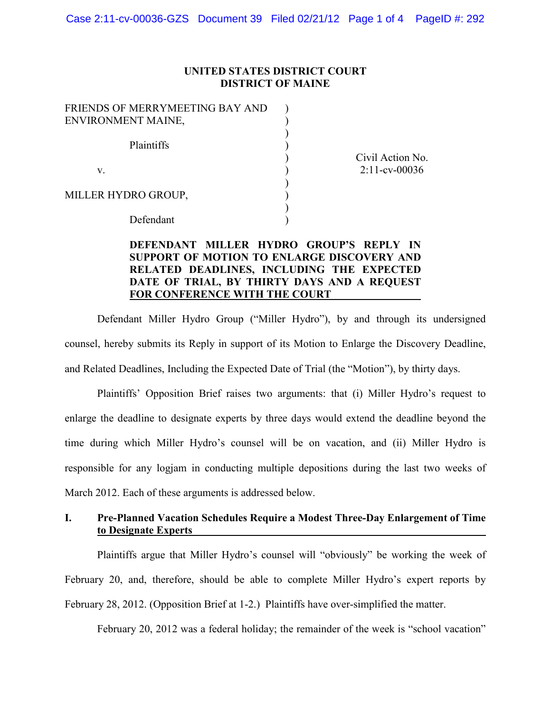### **UNITED STATES DISTRICT COURT DISTRICT OF MAINE**

) ) ) ) ) ) ) ) ) )

| FRIENDS OF MERRYMEETING BAY AND |
|---------------------------------|
| ENVIRONMENT MAINE,              |
|                                 |
| Plaintiffs                      |
|                                 |
| V.                              |
|                                 |
| MILLER HYDRO GROUP,             |
|                                 |
| Defendant                       |

Civil Action No. 2:11-cv-00036

### **DEFENDANT MILLER HYDRO GROUP'S REPLY IN SUPPORT OF MOTION TO ENLARGE DISCOVERY AND RELATED DEADLINES, INCLUDING THE EXPECTED DATE OF TRIAL, BY THIRTY DAYS AND A REQUEST FOR CONFERENCE WITH THE COURT**

Defendant Miller Hydro Group ("Miller Hydro"), by and through its undersigned counsel, hereby submits its Reply in support of its Motion to Enlarge the Discovery Deadline, and Related Deadlines, Including the Expected Date of Trial (the "Motion"), by thirty days.

Plaintiffs' Opposition Brief raises two arguments: that (i) Miller Hydro's request to enlarge the deadline to designate experts by three days would extend the deadline beyond the time during which Miller Hydro's counsel will be on vacation, and (ii) Miller Hydro is responsible for any logjam in conducting multiple depositions during the last two weeks of March 2012. Each of these arguments is addressed below.

### **I. Pre-Planned Vacation Schedules Require a Modest Three-Day Enlargement of Time to Designate Experts**

Plaintiffs argue that Miller Hydro's counsel will "obviously" be working the week of February 20, and, therefore, should be able to complete Miller Hydro's expert reports by February 28, 2012. (Opposition Brief at 1-2.) Plaintiffs have over-simplified the matter.

February 20, 2012 was a federal holiday; the remainder of the week is "school vacation"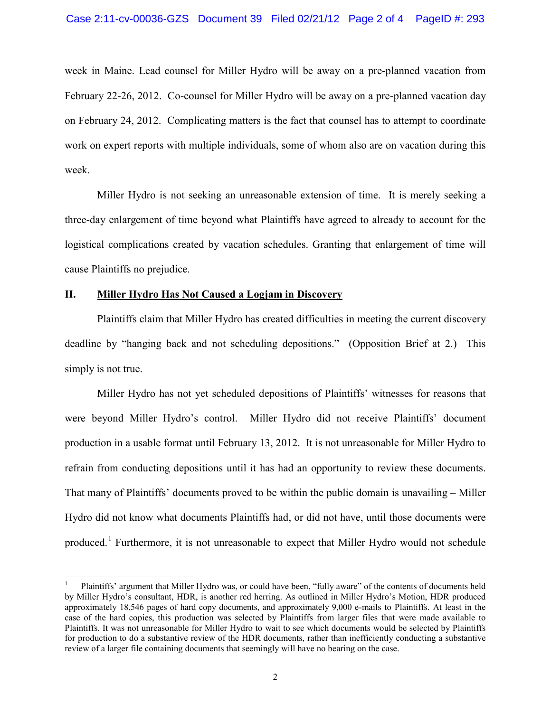week in Maine. Lead counsel for Miller Hydro will be away on a pre-planned vacation from February 22-26, 2012. Co-counsel for Miller Hydro will be away on a pre-planned vacation day on February 24, 2012. Complicating matters is the fact that counsel has to attempt to coordinate work on expert reports with multiple individuals, some of whom also are on vacation during this week.

Miller Hydro is not seeking an unreasonable extension of time. It is merely seeking a three-day enlargement of time beyond what Plaintiffs have agreed to already to account for the logistical complications created by vacation schedules. Granting that enlargement of time will cause Plaintiffs no prejudice.

### **II. Miller Hydro Has Not Caused a Logjam in Discovery**

Plaintiffs claim that Miller Hydro has created difficulties in meeting the current discovery deadline by "hanging back and not scheduling depositions." (Opposition Brief at 2.) This simply is not true.

Miller Hydro has not yet scheduled depositions of Plaintiffs' witnesses for reasons that were beyond Miller Hydro's control. Miller Hydro did not receive Plaintiffs' document production in a usable format until February 13, 2012. It is not unreasonable for Miller Hydro to refrain from conducting depositions until it has had an opportunity to review these documents. That many of Plaintiffs' documents proved to be within the public domain is unavailing – Miller Hydro did not know what documents Plaintiffs had, or did not have, until those documents were produced.<sup>1</sup> Furthermore, it is not unreasonable to expect that Miller Hydro would not schedule

 <sup>1</sup> Plaintiffs' argument that Miller Hydro was, or could have been, "fully aware" of the contents of documents held by Miller Hydro's consultant, HDR, is another red herring. As outlined in Miller Hydro's Motion, HDR produced approximately 18,546 pages of hard copy documents, and approximately 9,000 e-mails to Plaintiffs. At least in the case of the hard copies, this production was selected by Plaintiffs from larger files that were made available to Plaintiffs. It was not unreasonable for Miller Hydro to wait to see which documents would be selected by Plaintiffs for production to do a substantive review of the HDR documents, rather than inefficiently conducting a substantive review of a larger file containing documents that seemingly will have no bearing on the case.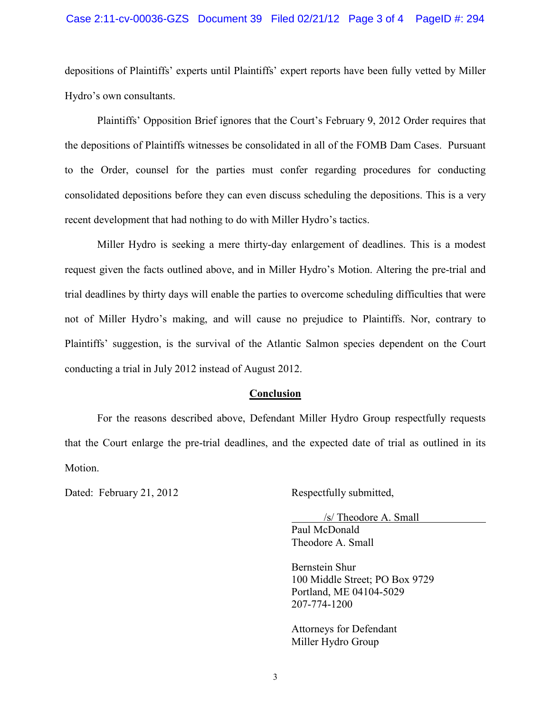#### Case 2:11-cv-00036-GZS Document 39 Filed 02/21/12 Page 3 of 4 PageID #: 294

depositions of Plaintiffs' experts until Plaintiffs' expert reports have been fully vetted by Miller Hydro's own consultants.

Plaintiffs' Opposition Brief ignores that the Court's February 9, 2012 Order requires that the depositions of Plaintiffs witnesses be consolidated in all of the FOMB Dam Cases. Pursuant to the Order, counsel for the parties must confer regarding procedures for conducting consolidated depositions before they can even discuss scheduling the depositions. This is a very recent development that had nothing to do with Miller Hydro's tactics.

Miller Hydro is seeking a mere thirty-day enlargement of deadlines. This is a modest request given the facts outlined above, and in Miller Hydro's Motion. Altering the pre-trial and trial deadlines by thirty days will enable the parties to overcome scheduling difficulties that were not of Miller Hydro's making, and will cause no prejudice to Plaintiffs. Nor, contrary to Plaintiffs' suggestion, is the survival of the Atlantic Salmon species dependent on the Court conducting a trial in July 2012 instead of August 2012.

#### **Conclusion**

For the reasons described above, Defendant Miller Hydro Group respectfully requests that the Court enlarge the pre-trial deadlines, and the expected date of trial as outlined in its Motion.

Dated: February 21, 2012 Respectfully submitted,

/s/ Theodore A. Small Paul McDonald Theodore A. Small

Bernstein Shur 100 Middle Street; PO Box 9729 Portland, ME 04104-5029 207-774-1200

Attorneys for Defendant Miller Hydro Group